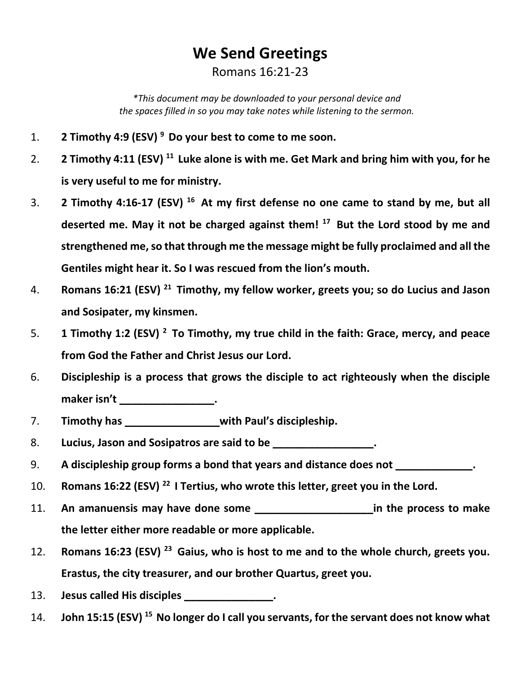## **We Send Greetings** Romans 16:21-23

*\*This document may be downloaded to your personal device and the spaces filled in so you may take notes while listening to the sermon.*

- 1. **2 Timothy 4:9 (ESV) 9 Do your best to come to me soon.**
- 2. **2 Timothy 4:11 (ESV)** <sup>11</sup> Luke alone is with me. Get Mark and bring him with you, for he **is very useful to me for ministry.**
- 3. **2 Timothy 4:16-17 (ESV) 16 At my first defense no one came to stand by me, but all deserted me. May it not be charged against them! 17 But the Lord stood by me and strengthened me, so that through me the message might be fully proclaimed and all the Gentiles might hear it. So I was rescued from the lion's mouth.**
- 4. **Romans 16:21 (ESV) 21 Timothy, my fellow worker, greets you; so do Lucius and Jason and Sosipater, my kinsmen.**
- 5. **1 Timothy 1:2 (ESV) 2 To Timothy, my true child in the faith: Grace, mercy, and peace from God the Father and Christ Jesus our Lord.**
- 6. **Discipleship is a process that grows the disciple to act righteously when the disciple**  maker isn't \_\_\_\_\_\_\_\_\_\_\_\_\_\_\_\_\_\_\_.
- 7. **Timothy has \_\_\_\_\_\_\_\_\_\_\_\_\_\_\_\_with Paul's discipleship.**
- 8. **Lucius, Jason and Sosipatros are said to be \_\_\_\_\_\_\_\_\_\_\_\_\_\_\_\_\_.**
- 9. **A discipleship group forms a bond that years and distance does not \_\_\_\_\_\_\_\_\_\_\_\_\_.**
- 10. **Romans 16:22 (ESV) 22 I Tertius, who wrote this letter, greet you in the Lord.**
- 11. **An amanuensis may have done some \_\_\_\_\_\_\_\_\_\_\_\_\_\_\_\_\_\_\_\_in the process to make the letter either more readable or more applicable.**
- 12. **Romans 16:23 (ESV) 23 Gaius, who is host to me and to the whole church, greets you. Erastus, the city treasurer, and our brother Quartus, greet you.**
- 13. **Jesus called His disciples \_\_\_\_\_\_\_\_\_\_\_\_\_\_\_.**
- 14. **John 15:15 (ESV)** <sup>15</sup> No longer do I call you servants, for the servant does not know what